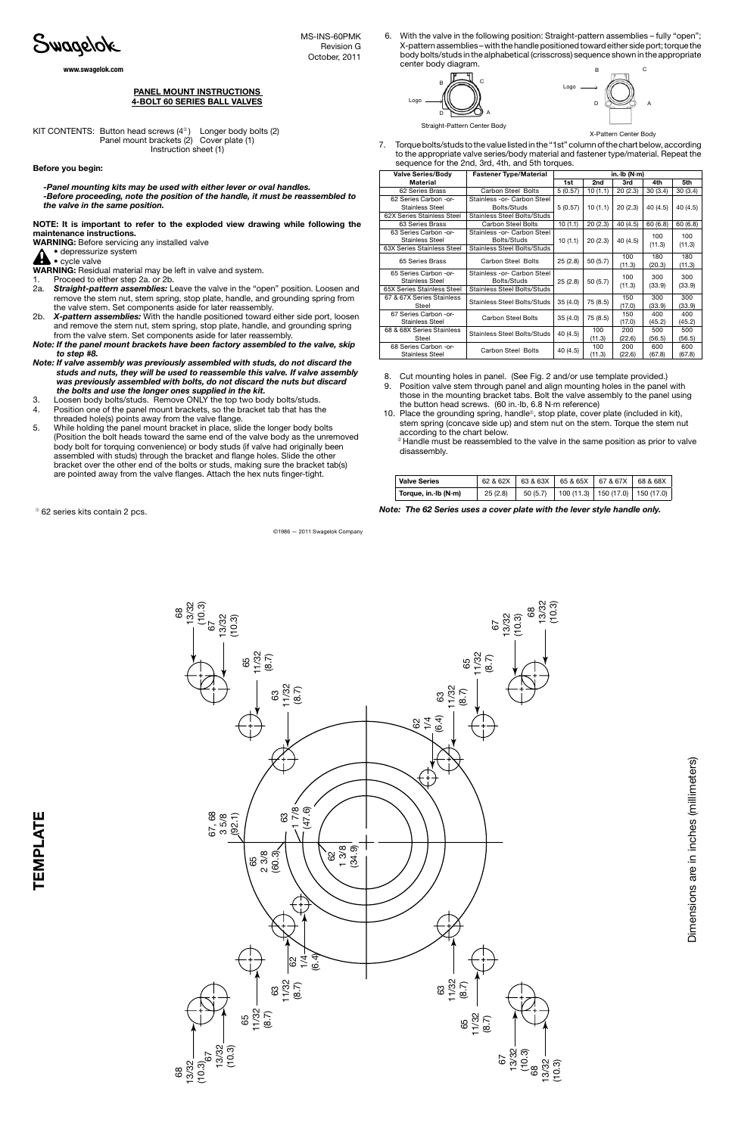

les (millimeters)

KIT CONTENTS: Button head screws  $(4^{\circ})$  Longer body bolts  $(2)$  Panel mount brackets (2) Cover plate (1) Instruction sheet (1)

- 8. Cut mounting holes in panel. (See Fig. 2 and/or use template provided.)
- 9. Position valve stem through panel and align mounting holes in the panel with those in the mounting bracket tabs. Bolt the valve assembly to the panel using the button head screws. (60 in.·lb, 6.8 N·m reference)
- 10. Place the grounding spring, handle<sup>®</sup>, stop plate, cover plate (included in kit), stem spring (concave side up) and stem nut on the stem. Torque the stem nut according to the chart below.

 <sup>➁</sup> Handle must be reassembled to the valve in the same position as prior to valve disassembly.

## panel mount instructions 4-Bolt 60 series BALL valves

## Before you begin:

*-Panel mounting kits may be used with either lever or oval handles. -Before proceeding, note the position of the handle, it must be reassembled to the valve in the same position.*

NOTE: It is important to refer to the exploded view drawing while following the maintenance instructions.

WARNING: Before servicing any installed valve

## • depressurize system • cycle valve

WARNING: Residual material may be left in valve and system.

1. Proceed to either step 2a. or 2b.

- 2a. *Straight-pattern assemblies:* Leave the valve in the "open" position. Loosen and remove the stem nut, stem spring, stop plate, handle, and grounding spring from the valve stem. Set components aside for later reassembly.
- 2b. *X-pattern assemblies:* With the handle positioned toward either side port, loosen and remove the stem nut, stem spring, stop plate, handle, and grounding spring from the valve stem. Set components aside for later reassembly.
- *Note: If the panel mount brackets have been factory assembled to the valve, skip to step #8.*
- *Note: If valve assembly was previously assembled with studs, do not discard the studs and nuts, they will be used to reassemble this valve. If valve assembly was previously assembled with bolts, do not discard the nuts but discard the bolts and use the longer ones supplied in the kit.*
- 3. Loosen body bolts/studs. Remove ONLY the top two body bolts/studs.
- 4. Position one of the panel mount brackets, so the bracket tab that has the
- threaded hole(s) points away from the valve flange. 5. While holding the panel mount bracket in place, slide the longer body bolts (Position the bolt heads toward the same end of the valve body as the unremoved body bolt for torquing convenience) or body studs (if valve had originally been assembled with studs) through the bracket and flange holes. Slide the other

bracket over the other end of the bolts or studs, making sure the bracket tab(s) are pointed away from the valve flanges. Attach the hex nuts finger-tight.

October, 2011

6. With the valve in the following position: Straight-pattern assemblies – fully "open"; X-pattern assemblies – with the handle positioned toward either side port; torque the body bolts/studs in the alphabetical (crisscross) sequence shown in the appropriate center body diagram.



7. Torque bolts/studs to the value listed in the "1st" column of the chart below, according to the appropriate valve series/body material and fastener type/material. Repeat the sequence for the 2nd, 3rd, 4th, and 5th torques. X-Pattern Center Body

©1986 — 2011 Swagelok Company

**C** N NS-INS-60PMK Revision G. The Contract of the Contract of the Contract of the Contract of the Contract of the Contract of the Contract of the Contract of the Contract of the Contract of the Contract of the Contract of the Contract of th

www.swagelok.com

| <b>Valve Series/Body</b>                        | <b>Fastener Type/Material</b>              | in. $lb(N·m)$ |               |               |               |               |
|-------------------------------------------------|--------------------------------------------|---------------|---------------|---------------|---------------|---------------|
| Material                                        |                                            | 1st           | 2nd           | 3rd           | 4th           | 5th           |
| 62 Series Brass                                 | Carbon Steel Bolts                         | 5(0.57)       | 10(1.1)       | 20(2.3)       | 30(3.4)       | 30(3.4)       |
| 62 Series Carbon -or-<br>Stainless Steel        | Stainless -or- Carbon Steel<br>Bolts/Studs | 5(0.57)       | 10(1.1)       | 20(2.3)       | 40 (4.5)      | 40 (4.5)      |
| 62X Series Stainless Steel                      | <b>Stainless Steel Bolts/Studs</b>         |               |               |               |               |               |
| 63 Series Brass                                 | <b>Carbon Steel Bolts</b>                  | 10(1.1)       | 20(2.3)       | 40 (4.5)      | 60(6.8)       | 60(6.8)       |
| 63 Series Carbon -or-<br><b>Stainless Steel</b> | Stainless -or- Carbon Steel<br>Bolts/Studs | 10(1.1)       | 20(2.3)       | 40 (4.5)      | 100<br>(11.3) | 100<br>(11.3) |
| 63X Series Stainless Steel                      | <b>Stainless Steel Bolts/Studs</b>         |               |               |               |               |               |
| 65 Series Brass                                 | <b>Carbon Steel Bolts</b>                  | 25(2.8)       | 50(5.7)       | 100<br>(11.3) | 180<br>(20.3) | 180<br>(11.3) |
| 65 Series Carbon -or-<br>Stainless Steel        | Stainless -or- Carbon Steel<br>Bolts/Studs | 25(2.8)       | 50(5.7)       | 100           | 300<br>(33.9) | 300<br>(33.9) |
| 65X Series Stainless Steel                      | <b>Stainless Steel Bolts/Studs</b>         |               |               | (11.3)        |               |               |
| 67 & 67X Series Stainless<br>Steel              | <b>Stainless Steel Bolts/Studs</b>         | 35(4.0)       | 75 (8.5)      | 150<br>(17.0) | 300<br>(33.9) | 300<br>(33.9) |
| 67 Series Carbon -or-<br><b>Stainless Steel</b> | <b>Carbon Steel Bolts</b>                  | 35(4.0)       | 75 (8.5)      | 150<br>(17.0) | 400<br>(45.2) | 400<br>(45.2) |
| 68 & 68X Series Stainless<br>Steel              | <b>Stainless Steel Bolts/Studs</b>         | 40 (4.5)      | 100<br>(11.3) | 200<br>(22.6) | 500<br>(56.5) | 500<br>(56.5) |
| 68 Series Carbon -or-<br><b>Stainless Steel</b> | Carbon Steel Bolts                         | 40 (4.5)      | 100<br>(11.3) | 200<br>(22.6) | 600<br>(67.8) | 600<br>(67.8) |

| <b>Valve Series</b>   |         |  | 62 & 62X   63 & 63X   65 & 65X   67 & 67X   68 & 68X |  |
|-----------------------|---------|--|------------------------------------------------------|--|
| Torque, in. $lb(N·m)$ | 25(2.8) |  | $50(5.7)$   100 (11.3)   150 (17.0)   150 (17.0)     |  |

<sup>◎</sup> 62 series kits contain 2 pcs. contain 2 pcs. a cover plate with the lever style handle only.